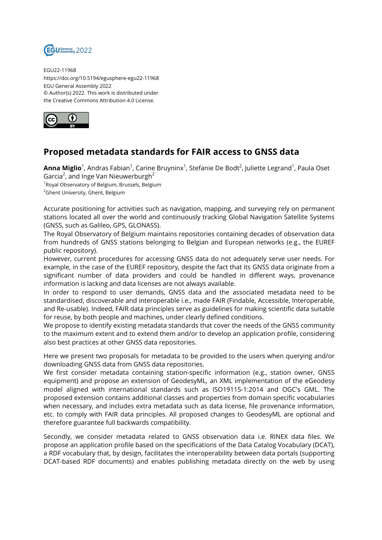

EGU22-11968 https://doi.org/10.5194/egusphere-egu22-11968 EGU General Assembly 2022 © Author(s) 2022. This work is distributed under the Creative Commons Attribution 4.0 License.



## **Proposed metadata standards for FAIR access to GNSS data**

**Anna Miglio**<sup>1</sup>, Andras Fabian<sup>1</sup>, Carine Bruyninx<sup>1</sup>, Stefanie De Bodt<sup>2</sup>, Juliette Legrand<sup>1</sup>, Paula Oset Garcia $^2$ , and Inge Van Nieuwerburgh $^2$ 

<sup>1</sup>Royal Observatory of Belgium, Brussels, Belgium <sup>2</sup>Ghent University, Ghent, Belgium

Accurate positioning for activities such as navigation, mapping, and surveying rely on permanent stations located all over the world and continuously tracking Global Navigation Satellite Systems (GNSS, such as Galileo, GPS, GLONASS).

The Royal Observatory of Belgium maintains repositories containing decades of observation data from hundreds of GNSS stations belonging to Belgian and European networks (e.g., the EUREF public repository).

However, current procedures for accessing GNSS data do not adequately serve user needs. For example, in the case of the EUREF repository, despite the fact that its GNSS data originate from a significant number of data providers and could be handled in different ways, provenance information is lacking and data licenses are not always available.

In order to respond to user demands, GNSS data and the associated metadata need to be standardised, discoverable and interoperable i.e., made FAIR (Findable, Accessible, Interoperable, and Re-usable). Indeed, FAIR data principles serve as guidelines for making scientific data suitable for reuse, by both people and machines, under clearly defined conditions.

We propose to identify existing metadata standards that cover the needs of the GNSS community to the maximum extent and to extend them and/or to develop an application profile, considering also best practices at other GNSS data repositories.

Here we present two proposals for metadata to be provided to the users when querying and/or downloading GNSS data from GNSS data repositories.

We first consider metadata containing station-specific information (e.g., station owner, GNSS equipment) and propose an extension of GeodesyML, an XML implementation of the eGeodesy model aligned with international standards such as ISO19115-1:2014 and OGC's GML. The proposed extension contains additional classes and properties from domain specific vocabularies when necessary, and includes extra metadata such as data license, file provenance information, etc. to comply with FAIR data principles. All proposed changes to GeodesyML are optional and therefore guarantee full backwards compatibility.

Secondly, we consider metadata related to GNSS observation data i.e. RINEX data files. We propose an application profile based on the specifications of the Data Catalog Vocabulary (DCAT), a RDF vocabulary that, by design, facilitates the interoperability between data portals (supporting DCAT-based RDF documents) and enables publishing metadata directly on the web by using